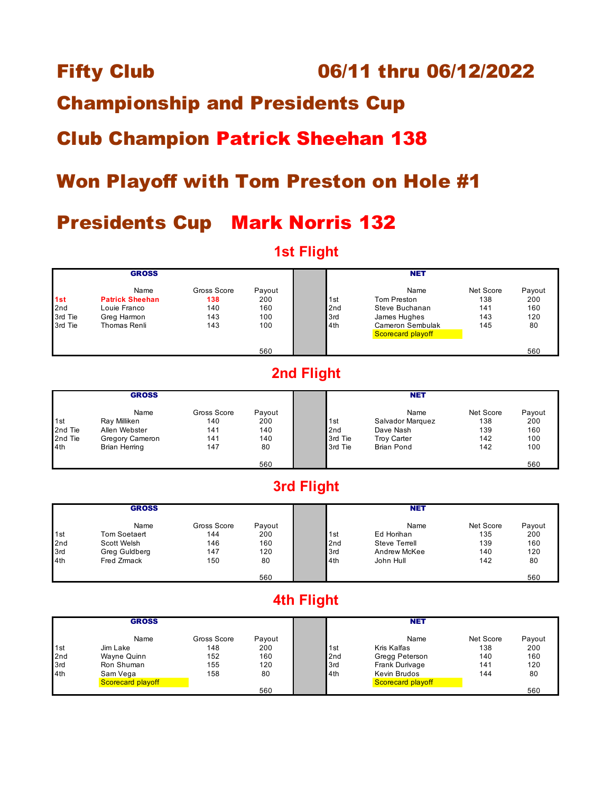#### Fifty Club 06/11 thru 06/12/2022

### Championship and Presidents Cup

## Club Champion Patrick Sheehan 138

### Won Playoff with Tom Preston on Hole #1

### Presidents Cup Mark Norris 132

#### **1st Flight**

|                                  | <b>GROSS</b>                                                                  |                                         |                                    |                                      | <b>NET</b>                                                                                     |                                       |                                   |
|----------------------------------|-------------------------------------------------------------------------------|-----------------------------------------|------------------------------------|--------------------------------------|------------------------------------------------------------------------------------------------|---------------------------------------|-----------------------------------|
| 1st<br>2nd<br>3rd Tie<br>3rd Tie | Name<br><b>Patrick Sheehan</b><br>Louie Franco<br>Greg Harmon<br>Thomas Renli | Gross Score<br>138<br>140<br>143<br>143 | Payout<br>200<br>160<br>100<br>100 | 1st<br>2 <sub>nd</sub><br>3rd<br>4th | Name<br>Tom Preston<br>Steve Buchanan<br>James Hughes<br>Cameron Sembulak<br>Scorecard playoff | Net Score<br>138<br>141<br>143<br>145 | Payout<br>200<br>160<br>120<br>80 |
|                                  |                                                                               |                                         | 560                                |                                      |                                                                                                |                                       | 560                               |

### **2nd Flight**

|         | <b>GROSS</b>    |             |        |         | <b>NET</b>         |           |        |
|---------|-----------------|-------------|--------|---------|--------------------|-----------|--------|
|         | Name            | Gross Score | Payout |         | Name               | Net Score | Payout |
| 1st     | Ray Milliken    | 140         | 200    | 1st     | Salvador Marquez   | 138       | 200    |
| 2nd Tie | Allen Webster   | 141         | 140    | 2nd     | Dave Nash          | 139       | 160    |
| 2nd Tie | Gregory Cameron | 141         | 140    | 3rd Tie | <b>Troy Carter</b> | 142       | 100    |
| 4th     | Brian Herring   | 147         | 80     | 3rd Tie | <b>Brian Pond</b>  | 142       | 100    |
|         |                 |             | 560    |         |                    |           | 560    |

#### **3rd Flight**

|                 | <b>GROSS</b>  |             |        |                 | <b>NET</b>           |           |        |
|-----------------|---------------|-------------|--------|-----------------|----------------------|-----------|--------|
|                 | Name          | Gross Score | Payout |                 | Name                 | Net Score | Payout |
| 1 <sub>st</sub> | Tom Soetaert  | 144         | 200    | 1st             | Ed Horihan           | 135       | 200    |
| 2nd             | Scott Welsh   | 146         | 160    | 2 <sub>nd</sub> | <b>Steve Terrell</b> | 139       | 160    |
| 3rd             | Greg Guldberg | 147         | 120    | 3rd             | Andrew McKee         | 140       | 120    |
| 4th             | Fred Zrmack   | 150         | 80     | 4th             | John Hull            | 142       | 80     |
|                 |               |             | 560    |                 |                      |           | 560    |

### **4th Flight**

|     | <b>GROSS</b>      |             |        |                 | <b>NET</b>        |           |        |
|-----|-------------------|-------------|--------|-----------------|-------------------|-----------|--------|
|     | Name              | Gross Score | Payout |                 | Name              | Net Score | Payout |
| 1st | Jim Lake          | 148         | 200    | 1st             | Kris Kalfas       | 138       | 200    |
| 2nd | Wayne Quinn       | 152         | 160    | 2 <sub>nd</sub> | Gregg Peterson    | 140       | 160    |
| 3rd | Ron Shuman        | 155         | 120    | 3rd             | Frank Durivage    | 141       | 120    |
| 4th | Sam Vega          | 158         | 80     | 4th             | Kevin Brudos      | 144       | 80     |
|     | Scorecard playoff |             |        |                 | Scorecard playoff |           |        |
|     |                   |             | 560    |                 |                   |           | 560    |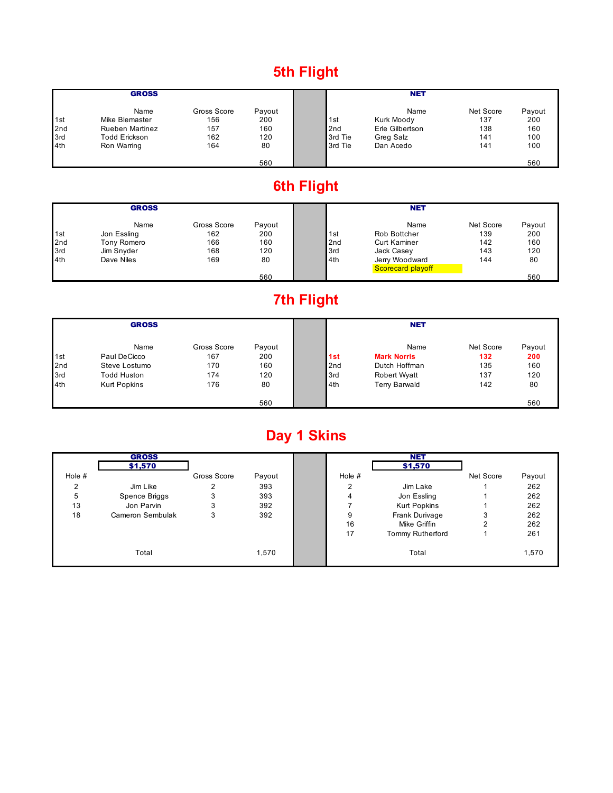### **5th Flight**

|                 | <b>GROSS</b>           |             |        |                 | <b>NET</b>      |           |        |
|-----------------|------------------------|-------------|--------|-----------------|-----------------|-----------|--------|
|                 | Name                   | Gross Score | Payout |                 | Name            | Net Score | Payout |
| 1st             | Mike Blemaster         | 156         | 200    | 1st             | Kurk Moody      | 137       | 200    |
| 2 <sub>nd</sub> | <b>Rueben Martinez</b> | 157         | 160    | 2 <sub>nd</sub> | Erle Gilbertson | 138       | 160    |
| 3rd             | <b>Todd Erickson</b>   | 162         | 120    | 3rd Tie         | Greg Salz       | 141       | 100    |
| 4th             | Ron Warring            | 164         | 80     | 3rd Tie         | Dan Acedo       | 141       | 100    |
|                 |                        |             | 560    |                 |                 |           | 560    |

# **6th Flight**

|     | <b>GROSS</b> |             |        |     | <b>NET</b>          |           |        |  |
|-----|--------------|-------------|--------|-----|---------------------|-----------|--------|--|
|     | Name         | Gross Score | Payout |     | Name                | Net Score | Payout |  |
| 1st | Jon Essling  | 162         | 200    | 1st | Rob Bottcher        | 139       | 200    |  |
| 2nd | Tony Romero  | 166         | 160    | 2nd | <b>Curt Kaminer</b> | 142       | 160    |  |
| 3rd | Jim Snyder   | 168         | 120    | 3rd | Jack Casey          | 143       | 120    |  |
| 4th | Dave Niles   | 169         | 80     | 4th | Jerry Woodward      | 144       | 80     |  |
|     |              |             |        |     | Scorecard playoff   |           |        |  |
|     |              |             | 560    |     |                     |           | 560    |  |

### **7th Flight**

|     | <b>GROSS</b>        |             |        |     | <b>NET</b>           |           |        |
|-----|---------------------|-------------|--------|-----|----------------------|-----------|--------|
|     | Name                | Gross Score | Payout |     | Name                 | Net Score | Payout |
| 1st | Paul DeCicco        | 167         | 200    | 1st | <b>Mark Norris</b>   | 132       | 200    |
| 2nd | Steve Lostumo       | 170         | 160    | 2nd | Dutch Hoffman        | 135       | 160    |
| 3rd | <b>Todd Huston</b>  | 174         | 120    | 3rd | <b>Robert Wyatt</b>  | 137       | 120    |
| 4th | <b>Kurt Popkins</b> | 176         | 80     | 4th | <b>Terry Barwald</b> | 142       | 80     |
|     |                     |             | 560    |     |                      |           | 560    |

# **Day 1 Skins**

|          | <b>GROSS</b>     |             |        |          | <b>NET</b>              |           |        |
|----------|------------------|-------------|--------|----------|-------------------------|-----------|--------|
|          | \$1,570          |             |        |          | \$1,570                 |           |        |
| Hole $#$ |                  | Gross Score | Payout | Hole $#$ |                         | Net Score | Payout |
| っ        | Jim Like         | っ           | 393    | 2        | Jim Lake                |           | 262    |
| 5        | Spence Briggs    | 3           | 393    |          | Jon Essling             |           | 262    |
| 13       | Jon Parvin       | 3           | 392    |          | <b>Kurt Popkins</b>     |           | 262    |
| 18       | Cameron Sembulak | 3           | 392    | 9        | Frank Durivage          | 3         | 262    |
|          |                  |             |        | 16       | Mike Griffin            | 2         | 262    |
|          |                  |             |        | 17       | <b>Tommy Rutherford</b> |           | 261    |
|          | Total            |             | 1,570  |          | Total                   |           | 1,570  |